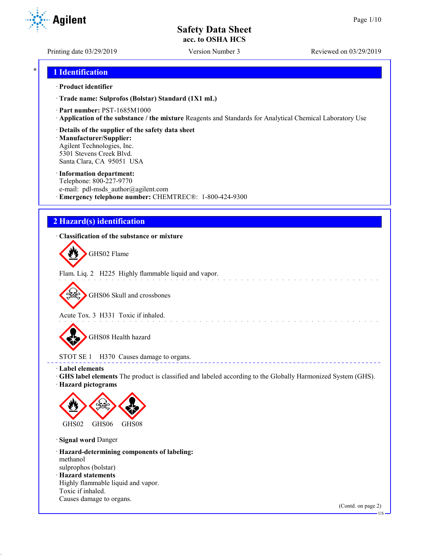**Agilent** 

Printing date 03/29/2019 Version Number 3 Reviewed on 03/29/2019

## \* **1 Identification**

#### · **Product identifier**

· **Trade name: Sulprofos (Bolstar) Standard (1X1 mL)**

- · **Part number:** PST-1685M1000
- · **Application of the substance / the mixture** Reagents and Standards for Analytical Chemical Laboratory Use
- · **Details of the supplier of the safety data sheet**

· **Manufacturer/Supplier:** Agilent Technologies, Inc. 5301 Stevens Creek Blvd. Santa Clara, CA 95051 USA

#### · **Information department:**

Telephone: 800-227-9770 e-mail: pdl-msds author@agilent.com · **Emergency telephone number:** CHEMTREC®: 1-800-424-9300

# **2 Hazard(s) identification**

#### · **Classification of the substance or mixture**

GHS02 Flame

Flam. Liq. 2 H225 Highly flammable liquid and vapor.

GHS06 Skull and crossbones

Acute Tox. 3 H331 Toxic if inhaled.

GHS08 Health hazard

STOT SE 1 H370 Causes damage to organs.

· **Label elements**

· **GHS label elements** The product is classified and labeled according to the Globally Harmonized System (GHS).

and a straight and a straight

**ELECT** 

· **Hazard pictograms**



· **Signal word** Danger

· **Hazard-determining components of labeling:** methanol sulprophos (bolstar) · **Hazard statements** Highly flammable liquid and vapor. Toxic if inhaled. Causes damage to organs.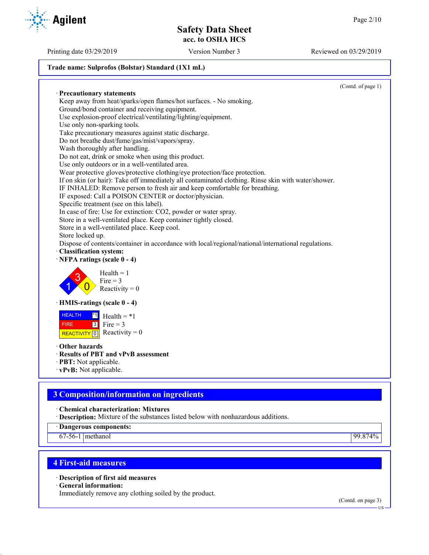Printing date 03/29/2019 Version Number 3 Reviewed on 03/29/2019

#### **Trade name: Sulprofos (Bolstar) Standard (1X1 mL)**

(Contd. of page 1) · **Precautionary statements** Keep away from heat/sparks/open flames/hot surfaces. - No smoking. Ground/bond container and receiving equipment. Use explosion-proof electrical/ventilating/lighting/equipment. Use only non-sparking tools. Take precautionary measures against static discharge. Do not breathe dust/fume/gas/mist/vapors/spray. Wash thoroughly after handling. Do not eat, drink or smoke when using this product. Use only outdoors or in a well-ventilated area. Wear protective gloves/protective clothing/eye protection/face protection. If on skin (or hair): Take off immediately all contaminated clothing. Rinse skin with water/shower. IF INHALED: Remove person to fresh air and keep comfortable for breathing. IF exposed: Call a POISON CENTER or doctor/physician. Specific treatment (see on this label). In case of fire: Use for extinction: CO2, powder or water spray. Store in a well-ventilated place. Keep container tightly closed. Store in a well-ventilated place. Keep cool. Store locked up. Dispose of contents/container in accordance with local/regional/national/international regulations. · **Classification system:** 1 3  $\overline{0}$  $Health = 1$  $Fire = 3$ Reactivity  $= 0$ · **HMIS-ratings (scale 0 - 4)** HEALTH FIRE REACTIVITY  $\boxed{0}$  Reactivity = 0  $\overline{1}$  Health = \*1  $3$  Fire = 3 · **Other hazards** · **Results of PBT and vPvB assessment**

- · **PBT:** Not applicable.
- · **vPvB:** Not applicable.

# **3 Composition/information on ingredients**

· **Chemical characterization: Mixtures**

· **Description:** Mixture of the substances listed below with nonhazardous additions.

· **Dangerous components:**

67-56-1 methanol 99.874%

## **4 First-aid measures**

· **Description of first aid measures**

· **General information:**

Immediately remove any clothing soiled by the product.

· **NFPA ratings (scale 0 - 4)**



**Agilent** 

(Contd. on page 3)

US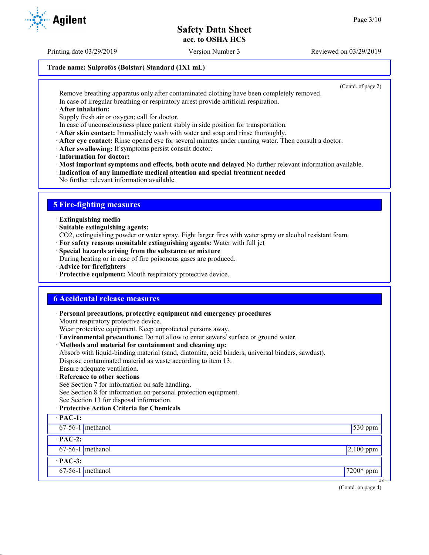Printing date 03/29/2019 Version Number 3 Reviewed on 03/29/2019

#### **Trade name: Sulprofos (Bolstar) Standard (1X1 mL)**

(Contd. of page 2)

Remove breathing apparatus only after contaminated clothing have been completely removed. In case of irregular breathing or respiratory arrest provide artificial respiration.

· **After inhalation:**

Supply fresh air or oxygen; call for doctor.

- In case of unconsciousness place patient stably in side position for transportation.
- · **After skin contact:** Immediately wash with water and soap and rinse thoroughly.
- · **After eye contact:** Rinse opened eye for several minutes under running water. Then consult a doctor.
- · **After swallowing:** If symptoms persist consult doctor.
- · **Information for doctor:**

· **Most important symptoms and effects, both acute and delayed** No further relevant information available.

- · **Indication of any immediate medical attention and special treatment needed**
- No further relevant information available.

# **5 Fire-fighting measures**

- · **Extinguishing media**
- · **Suitable extinguishing agents:**
- CO2, extinguishing powder or water spray. Fight larger fires with water spray or alcohol resistant foam.
- · **For safety reasons unsuitable extinguishing agents:** Water with full jet
- · **Special hazards arising from the substance or mixture**

During heating or in case of fire poisonous gases are produced.

- · **Advice for firefighters**
- · **Protective equipment:** Mouth respiratory protective device.

## **6 Accidental release measures**

· **Personal precautions, protective equipment and emergency procedures** Mount respiratory protective device. Wear protective equipment. Keep unprotected persons away. · **Environmental precautions:** Do not allow to enter sewers/ surface or ground water. · **Methods and material for containment and cleaning up:** Absorb with liquid-binding material (sand, diatomite, acid binders, universal binders, sawdust). Dispose contaminated material as waste according to item 13. Ensure adequate ventilation. · **Reference to other sections** See Section 7 for information on safe handling. See Section 8 for information on personal protection equipment. See Section 13 for disposal information. · **Protective Action Criteria for Chemicals** · **PAC-1:** 67-56-1 methanol 530 ppm · **PAC-2:**  $67-56-1$  methanol 2,100 ppm · **PAC-3:** 67-56-1 methanol 7200\* ppm



US

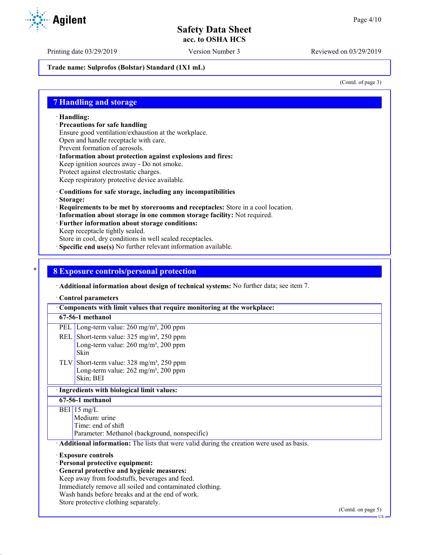Printing date 03/29/2019 Version Number 3 Reviewed on 03/29/2019

**Trade name: Sulprofos (Bolstar) Standard (1X1 mL)**

(Contd. of page 3)

### **7 Handling and storage**

· **Handling:**

· **Precautions for safe handling**

Ensure good ventilation/exhaustion at the workplace.

Open and handle receptacle with care.

- Prevent formation of aerosols.
- · **Information about protection against explosions and fires:** Keep ignition sources away - Do not smoke.
- Protect against electrostatic charges.
- Keep respiratory protective device available.
- · **Conditions for safe storage, including any incompatibilities**
- · **Storage:**
- · **Requirements to be met by storerooms and receptacles:** Store in a cool location.
- · **Information about storage in one common storage facility:** Not required.
- · **Further information about storage conditions:**
- Keep receptacle tightly sealed.
- Store in cool, dry conditions in well sealed receptacles.
- · **Specific end use(s)** No further relevant information available.

#### \* **8 Exposure controls/personal protection**

· **Additional information about design of technical systems:** No further data; see item 7.

· **Control parameters**

· **Components with limit values that require monitoring at the workplace: 67-56-1 methanol** PEL Long-term value: 260 mg/m<sup>3</sup>, 200 ppm REL Short-term value:  $325 \text{ mg/m}^3$ ,  $250 \text{ ppm}$ Long-term value:  $260$  mg/m<sup>3</sup>,  $200$  ppm Skin TLV Short-term value: 328 mg/m³, 250 ppm Long-term value:  $262$  mg/m<sup>3</sup>,  $200$  ppm Skin; BEI · **Ingredients with biological limit values: 67-56-1 methanol**  $BEI$  15 mg/L Medium: urine Time: end of shift Parameter: Methanol (background, nonspecific) · **Additional information:** The lists that were valid during the creation were used as basis. · **Exposure controls** · **Personal protective equipment:** · **General protective and hygienic measures:** Keep away from foodstuffs, beverages and feed. Immediately remove all soiled and contaminated clothing. Wash hands before breaks and at the end of work. Store protective clothing separately.

US

**Agilent**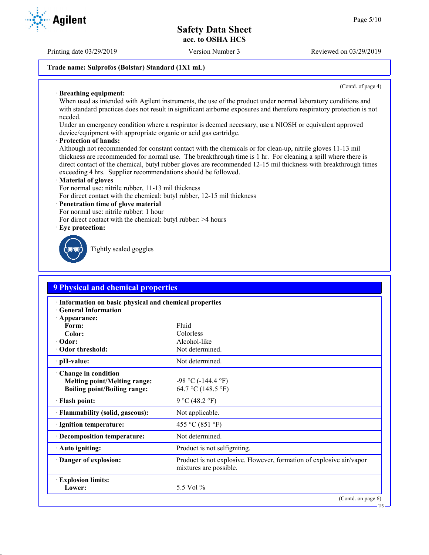Printing date 03/29/2019 Version Number 3 Reviewed on 03/29/2019

### **Trade name: Sulprofos (Bolstar) Standard (1X1 mL)**

(Contd. of page 4)

US

#### · **Breathing equipment:**

When used as intended with Agilent instruments, the use of the product under normal laboratory conditions and with standard practices does not result in significant airborne exposures and therefore respiratory protection is not needed.

Under an emergency condition where a respirator is deemed necessary, use a NIOSH or equivalent approved device/equipment with appropriate organic or acid gas cartridge.

#### · **Protection of hands:**

Although not recommended for constant contact with the chemicals or for clean-up, nitrile gloves 11-13 mil thickness are recommended for normal use. The breakthrough time is 1 hr. For cleaning a spill where there is direct contact of the chemical, butyl rubber gloves are recommended 12-15 mil thickness with breakthrough times exceeding 4 hrs. Supplier recommendations should be followed.

#### · **Material of gloves**

For normal use: nitrile rubber, 11-13 mil thickness

For direct contact with the chemical: butyl rubber, 12-15 mil thickness

#### · **Penetration time of glove material**

For normal use: nitrile rubber: 1 hour

For direct contact with the chemical: butyl rubber: >4 hours

· **Eye protection:**



Tightly sealed goggles

| <b>9 Physical and chemical properties</b>                                                              |                                                                                               |  |  |  |
|--------------------------------------------------------------------------------------------------------|-----------------------------------------------------------------------------------------------|--|--|--|
| · Information on basic physical and chemical properties<br><b>General Information</b><br>· Appearance: |                                                                                               |  |  |  |
| Form:                                                                                                  | Fluid                                                                                         |  |  |  |
| Color:                                                                                                 | Colorless                                                                                     |  |  |  |
| · Odor:                                                                                                | Alcohol-like                                                                                  |  |  |  |
| Odor threshold:                                                                                        | Not determined.                                                                               |  |  |  |
| $\cdot$ pH-value:                                                                                      | Not determined.                                                                               |  |  |  |
| · Change in condition<br><b>Melting point/Melting range:</b><br><b>Boiling point/Boiling range:</b>    | $-98$ °C ( $-144.4$ °F)<br>64.7 °C (148.5 °F)                                                 |  |  |  |
| · Flash point:                                                                                         | 9 °C (48.2 °F)                                                                                |  |  |  |
| · Flammability (solid, gaseous):                                                                       | Not applicable.                                                                               |  |  |  |
| · Ignition temperature:                                                                                | 455 °C (851 °F)                                                                               |  |  |  |
| · Decomposition temperature:                                                                           | Not determined.                                                                               |  |  |  |
| · Auto igniting:                                                                                       | Product is not selfigniting.                                                                  |  |  |  |
| Danger of explosion:                                                                                   | Product is not explosive. However, formation of explosive air/vapor<br>mixtures are possible. |  |  |  |
| <b>Explosion limits:</b><br>Lower:                                                                     | 5.5 Vol $\%$                                                                                  |  |  |  |
|                                                                                                        | (Contd. on page 6)                                                                            |  |  |  |

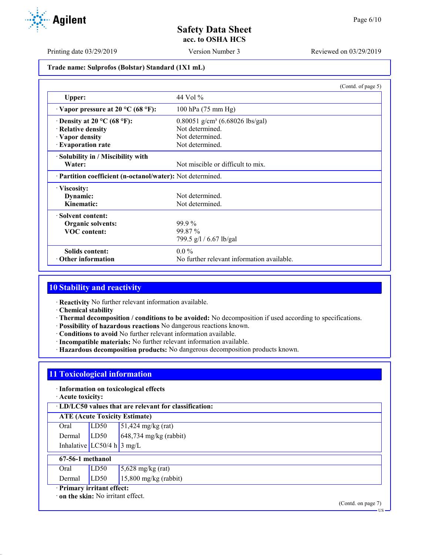Printing date 03/29/2019 Version Number 3 Reviewed on 03/29/2019

#### **Trade name: Sulprofos (Bolstar) Standard (1X1 mL)**

|                                                            | (Contd. of page 5)                            |
|------------------------------------------------------------|-----------------------------------------------|
| Upper:                                                     | 44 Vol $\%$                                   |
| $\cdot$ Vapor pressure at 20 °C (68 °F):                   | 100 hPa (75 mm Hg)                            |
| $\cdot$ Density at 20 °C (68 °F):                          | $0.80051$ g/cm <sup>3</sup> (6.68026 lbs/gal) |
| · Relative density                                         | Not determined.                               |
| · Vapor density                                            | Not determined.                               |
| · Evaporation rate                                         | Not determined.                               |
| · Solubility in / Miscibility with                         |                                               |
| Water:                                                     | Not miscible or difficult to mix.             |
| · Partition coefficient (n-octanol/water): Not determined. |                                               |
| · Viscosity:                                               |                                               |
| Dynamic:                                                   | Not determined.                               |
| Kinematic:                                                 | Not determined.                               |
| · Solvent content:                                         |                                               |
| <b>Organic solvents:</b>                                   | $99.9\%$                                      |
| <b>VOC</b> content:                                        | 99.87 %                                       |
|                                                            | 799.5 g/l / 6.67 lb/gal                       |
| Solids content:                                            | $0.0\%$                                       |
| $\cdot$ Other information                                  | No further relevant information available.    |

# **10 Stability and reactivity**

· **Reactivity** No further relevant information available.

- · **Chemical stability**
- · **Thermal decomposition / conditions to be avoided:** No decomposition if used according to specifications.
- · **Possibility of hazardous reactions** No dangerous reactions known.
- · **Conditions to avoid** No further relevant information available.
- · **Incompatible materials:** No further relevant information available.
- · **Hazardous decomposition products:** No dangerous decomposition products known.

# **11 Toxicological information**

#### · **Information on toxicological effects**

· **Acute toxicity:**

· **LD/LC50 values that are relevant for classification:**

## **ATE (Acute Toxicity Estimate)**

| Oral                                 | LD50 | $51,424$ mg/kg (rat)     |
|--------------------------------------|------|--------------------------|
| Dermal $LD50$                        |      | $648,734$ mg/kg (rabbit) |
| Inhalative LC50/4 h $3 \text{ mg/L}$ |      |                          |

|                          | 67-56-1 methanol |      |                             |
|--------------------------|------------------|------|-----------------------------|
|                          | Oral             | LD50 | $5,628 \text{ mg/kg (rat)}$ |
|                          | Dermal           | LD50 | $15,800$ mg/kg (rabbit)     |
| Primary irritant effect: |                  |      |                             |

· **on the skin:** No irritant effect.

(Contd. on page 7)

US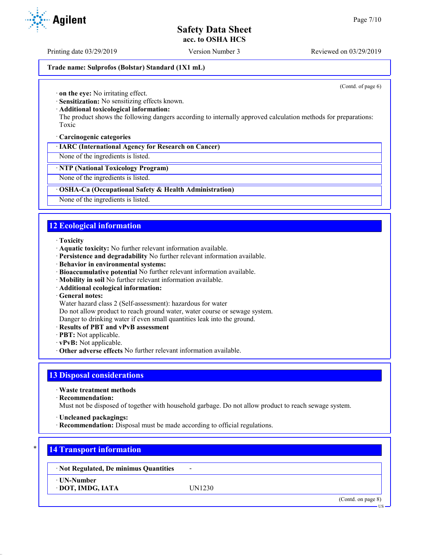Printing date 03/29/2019 Version Number 3 Reviewed on 03/29/2019

#### **Trade name: Sulprofos (Bolstar) Standard (1X1 mL)**

(Contd. of page 6)

· **on the eye:** No irritating effect.

· **Sensitization:** No sensitizing effects known.

#### · **Additional toxicological information:**

The product shows the following dangers according to internally approved calculation methods for preparations: Toxic

#### · **Carcinogenic categories**

· **IARC (International Agency for Research on Cancer)**

None of the ingredients is listed.

#### · **NTP (National Toxicology Program)**

None of the ingredients is listed.

#### · **OSHA-Ca (Occupational Safety & Health Administration)**

None of the ingredients is listed.

# **12 Ecological information**

#### · **Toxicity**

- · **Aquatic toxicity:** No further relevant information available.
- · **Persistence and degradability** No further relevant information available.
- · **Behavior in environmental systems:**
- · **Bioaccumulative potential** No further relevant information available.
- · **Mobility in soil** No further relevant information available.
- · **Additional ecological information:**
- · **General notes:**

Water hazard class 2 (Self-assessment): hazardous for water

Do not allow product to reach ground water, water course or sewage system.

- Danger to drinking water if even small quantities leak into the ground.
- · **Results of PBT and vPvB assessment**
- · **PBT:** Not applicable.
- · **vPvB:** Not applicable.
- · **Other adverse effects** No further relevant information available.

## **13 Disposal considerations**

· **Waste treatment methods**

· **Recommendation:**

Must not be disposed of together with household garbage. Do not allow product to reach sewage system.

- · **Uncleaned packagings:**
- · **Recommendation:** Disposal must be made according to official regulations.

# **14 Transport information**

· **Not Regulated, De minimus Quantities** -

· **UN-Number**

· **DOT, IMDG, IATA** UN1230

(Contd. on page 8)

**TIC** 

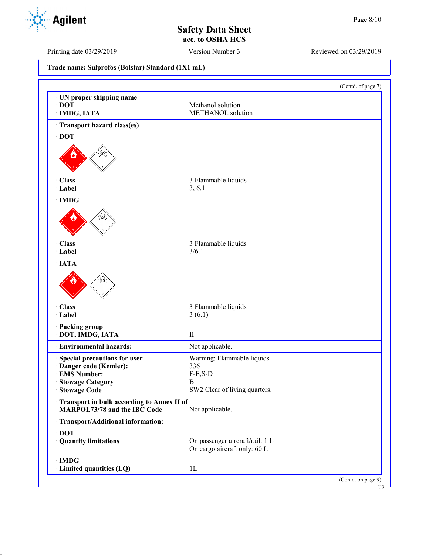US

**Safety Data Sheet acc. to OSHA HCS**

Printing date 03/29/2019 Version Number 3 Reviewed on 03/29/2019

**Trade name: Sulprofos (Bolstar) Standard (1X1 mL)** (Contd. of page 7) · **UN proper shipping name** · **DOT** Methanol solution · **IMDG, IATA** METHANOL solution · **Transport hazard class(es)** · **DOT** · **Class** 3 Flammable liquids · **Label** 3, 6.1 <u>\_\_\_\_\_\_\_\_\_\_\_\_\_\_\_</u> · **IMDG** · **Class** 3 Flammable liquids · **Label** 3/6.1 \_\_\_\_\_\_\_\_\_\_\_\_\_ · **IATA** · **Class** 3 Flammable liquids · **Label** 3 (6.1) · **Packing group** · **DOT, IMDG, IATA** II · **Environmental hazards:** Not applicable. · **Special precautions for user** Warning: Flammable liquids · **Danger code (Kemler):** 336  $\cdot$  **EMS Number:** · **Stowage Category** B SW2 Clear of living quarters. · **Transport in bulk according to Annex II of MARPOL73/78 and the IBC Code** Not applicable. · **Transport/Additional information:** · **DOT** · **Quantity limitations** On passenger aircraft/rail: 1 L On cargo aircraft only: 60 L · **IMDG** · **Limited quantities (LQ)** 1L (Contd. on page 9)

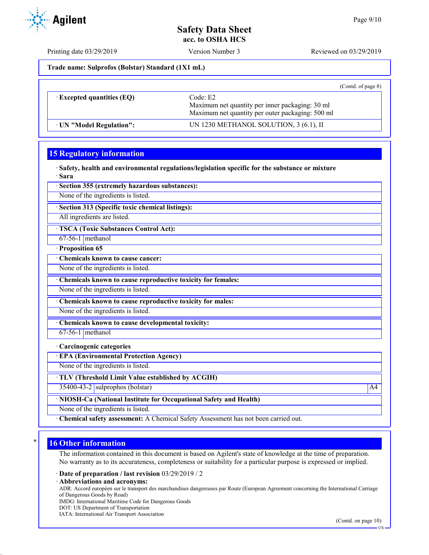Printing date 03/29/2019 Version Number 3 Reviewed on 03/29/2019

**Trade name: Sulprofos (Bolstar) Standard (1X1 mL)**

|                                  | (Cond. of page 8)                                                                                               |  |
|----------------------------------|-----------------------------------------------------------------------------------------------------------------|--|
| $\cdot$ Excepted quantities (EQ) | Code: E2<br>Maximum net quantity per inner packaging: 30 ml<br>Maximum net quantity per outer packaging: 500 ml |  |
| UN "Model Regulation":           | UN 1230 METHANOL SOLUTION, 3 (6.1), II                                                                          |  |

# **15 Regulatory information**

· **Safety, health and environmental regulations/legislation specific for the substance or mixture** · **Sara**

· **Section 355 (extremely hazardous substances):**

None of the ingredients is listed.

· **Section 313 (Specific toxic chemical listings):**

All ingredients are listed.

· **TSCA (Toxic Substances Control Act):**

- 67-56-1 methanol
- · **Proposition 65**

· **Chemicals known to cause cancer:** None of the ingredients is listed.

· **Chemicals known to cause reproductive toxicity for females:**

None of the ingredients is listed.

· **Chemicals known to cause reproductive toxicity for males:**

None of the ingredients is listed.

· **Chemicals known to cause developmental toxicity:**

 $67-56-1$  methanol

#### · **Carcinogenic categories**

· **EPA (Environmental Protection Agency)**

None of the ingredients is listed.

· **TLV (Threshold Limit Value established by ACGIH)**

 $35400-43-2$  sulprophos (bolstar)  $\overline{A4}$ 

· **NIOSH-Ca (National Institute for Occupational Safety and Health)**

None of the ingredients is listed.

· **Chemical safety assessment:** A Chemical Safety Assessment has not been carried out.

## **16 Other information**

The information contained in this document is based on Agilent's state of knowledge at the time of preparation. No warranty as to its accurateness, completeness or suitability for a particular purpose is expressed or implied.

· **Date of preparation / last revision** 03/29/2019 / 2

· **Abbreviations and acronyms:**

ADR: Accord européen sur le transport des marchandises dangereuses par Route (European Agreement concerning the International Carriage of Dangerous Goods by Road)

IMDG: International Maritime Code for Dangerous Goods

DOT: US Department of Transportation

IATA: International Air Transport Association

US